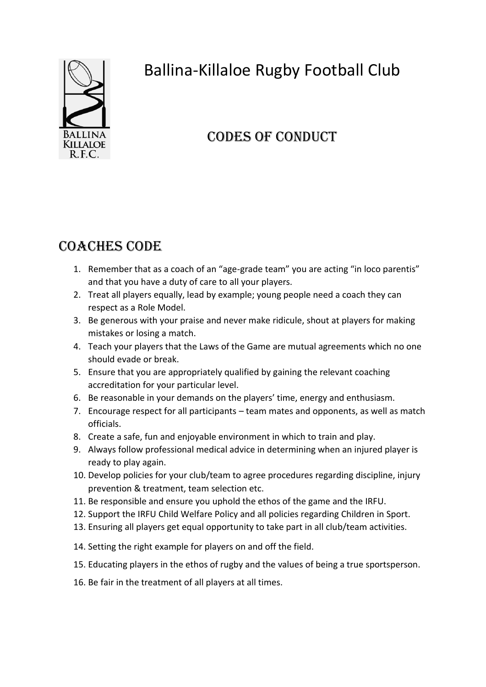

# Ballina-Killaloe Rugby Football Club

# Codes of conduct

## Coaches Code

- 1. Remember that as a coach of an "age-grade team" you are acting "in loco parentis" and that you have a duty of care to all your players.
- 2. Treat all players equally, lead by example; young people need a coach they can respect as a Role Model.
- 3. Be generous with your praise and never make ridicule, shout at players for making mistakes or losing a match.
- 4. Teach your players that the Laws of the Game are mutual agreements which no one should evade or break.
- 5. Ensure that you are appropriately qualified by gaining the relevant coaching accreditation for your particular level.
- 6. Be reasonable in your demands on the players' time, energy and enthusiasm.
- 7. Encourage respect for all participants team mates and opponents, as well as match officials.
- 8. Create a safe, fun and enjoyable environment in which to train and play.
- 9. Always follow professional medical advice in determining when an injured player is ready to play again.
- 10. Develop policies for your club/team to agree procedures regarding discipline, injury prevention & treatment, team selection etc.
- 11. Be responsible and ensure you uphold the ethos of the game and the IRFU.
- 12. Support the IRFU Child Welfare Policy and all policies regarding Children in Sport.
- 13. Ensuring all players get equal opportunity to take part in all club/team activities.
- 14. Setting the right example for players on and off the field.
- 15. Educating players in the ethos of rugby and the values of being a true sportsperson.
- 16. Be fair in the treatment of all players at all times.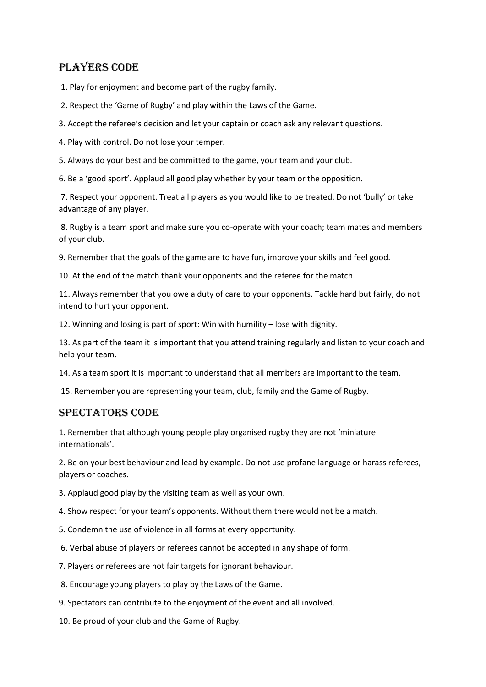### Players Code

1. Play for enjoyment and become part of the rugby family.

- 2. Respect the 'Game of Rugby' and play within the Laws of the Game.
- 3. Accept the referee's decision and let your captain or coach ask any relevant questions.
- 4. Play with control. Do not lose your temper.

5. Always do your best and be committed to the game, your team and your club.

6. Be a 'good sport'. Applaud all good play whether by your team or the opposition.

7. Respect your opponent. Treat all players as you would like to be treated. Do not 'bully' or take advantage of any player.

8. Rugby is a team sport and make sure you co-operate with your coach; team mates and members of your club.

9. Remember that the goals of the game are to have fun, improve your skills and feel good.

10. At the end of the match thank your opponents and the referee for the match.

11. Always remember that you owe a duty of care to your opponents. Tackle hard but fairly, do not intend to hurt your opponent.

12. Winning and losing is part of sport: Win with humility – lose with dignity.

13. As part of the team it is important that you attend training regularly and listen to your coach and help your team.

14. As a team sport it is important to understand that all members are important to the team.

15. Remember you are representing your team, club, family and the Game of Rugby.

#### Spectators Code

1. Remember that although young people play organised rugby they are not 'miniature internationals'.

2. Be on your best behaviour and lead by example. Do not use profane language or harass referees, players or coaches.

3. Applaud good play by the visiting team as well as your own.

4. Show respect for your team's opponents. Without them there would not be a match.

- 5. Condemn the use of violence in all forms at every opportunity.
- 6. Verbal abuse of players or referees cannot be accepted in any shape of form.
- 7. Players or referees are not fair targets for ignorant behaviour.

8. Encourage young players to play by the Laws of the Game.

- 9. Spectators can contribute to the enjoyment of the event and all involved.
- 10. Be proud of your club and the Game of Rugby.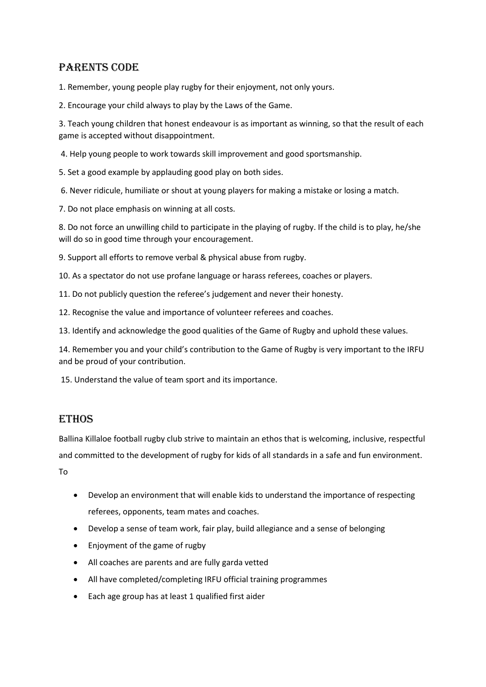### Parents Code

1. Remember, young people play rugby for their enjoyment, not only yours.

2. Encourage your child always to play by the Laws of the Game.

3. Teach young children that honest endeavour is as important as winning, so that the result of each game is accepted without disappointment.

4. Help young people to work towards skill improvement and good sportsmanship.

5. Set a good example by applauding good play on both sides.

6. Never ridicule, humiliate or shout at young players for making a mistake or losing a match.

7. Do not place emphasis on winning at all costs.

8. Do not force an unwilling child to participate in the playing of rugby. If the child is to play, he/she will do so in good time through your encouragement.

9. Support all efforts to remove verbal & physical abuse from rugby.

10. As a spectator do not use profane language or harass referees, coaches or players.

11. Do not publicly question the referee's judgement and never their honesty.

12. Recognise the value and importance of volunteer referees and coaches.

13. Identify and acknowledge the good qualities of the Game of Rugby and uphold these values.

14. Remember you and your child's contribution to the Game of Rugby is very important to the IRFU and be proud of your contribution.

15. Understand the value of team sport and its importance.

#### **ETHOS**

Ballina Killaloe football rugby club strive to maintain an ethos that is welcoming, inclusive, respectful and committed to the development of rugby for kids of all standards in a safe and fun environment.

To

- Develop an environment that will enable kids to understand the importance of respecting referees, opponents, team mates and coaches.
- Develop a sense of team work, fair play, build allegiance and a sense of belonging
- Enjoyment of the game of rugby
- All coaches are parents and are fully garda vetted
- All have completed/completing IRFU official training programmes
- Each age group has at least 1 qualified first aider